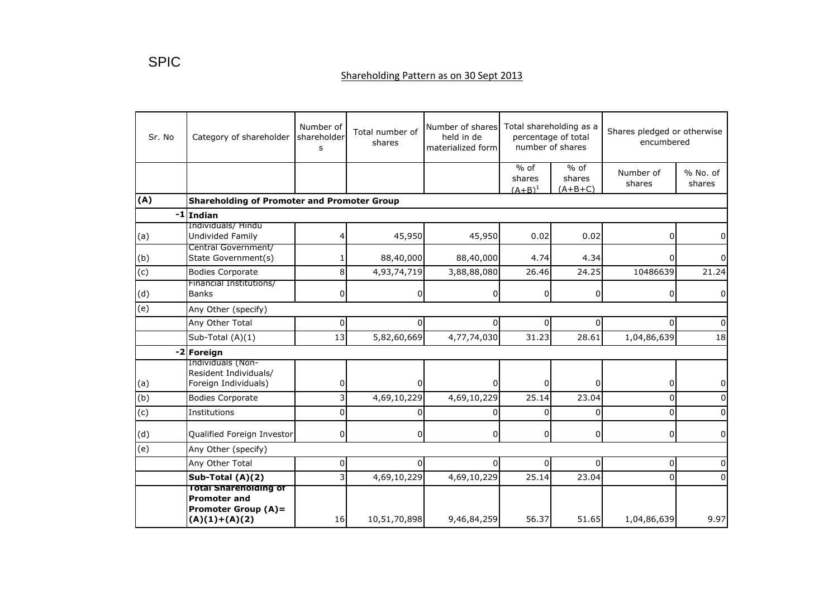## Shareholding Pattern as on 30 Sept 2013

| Sr. No         | Category of shareholder                                                                              | Number of<br>shareholder<br>s | Total number of<br>shares | Number of shares<br>held in de<br>materialized form | Total shareholding as a<br>percentage of total<br>number of shares |                               | Shares pledged or otherwise<br>encumbered |                      |  |
|----------------|------------------------------------------------------------------------------------------------------|-------------------------------|---------------------------|-----------------------------------------------------|--------------------------------------------------------------------|-------------------------------|-------------------------------------------|----------------------|--|
|                |                                                                                                      |                               |                           |                                                     | $%$ of<br>shares<br>$(A+B)^1$                                      | $%$ of<br>shares<br>$(A+B+C)$ | Number of<br>shares                       | $%$ No. of<br>shares |  |
| (A)            | <b>Shareholding of Promoter and Promoter Group</b>                                                   |                               |                           |                                                     |                                                                    |                               |                                           |                      |  |
|                | -1 Indian                                                                                            |                               |                           |                                                     |                                                                    |                               |                                           |                      |  |
| (a)            | Individuals/Hindu<br>Undivided Family                                                                |                               | 45,950                    | 45,950                                              | 0.02                                                               | 0.02                          | 0                                         | 0                    |  |
| (b)            | Central Government/<br>State Government(s)                                                           |                               | 88,40,000                 | 88,40,000                                           | 4.74                                                               | 4.34                          | 0                                         |                      |  |
| $\overline{c}$ | <b>Bodies Corporate</b>                                                                              | 8                             | 4,93,74,719               | 3,88,88,080                                         | 26.46                                                              | 24.25                         | 10486639                                  | 21.24                |  |
| (d)            | Financial Institutions/<br><b>Banks</b>                                                              | 0                             | U                         | $\Omega$                                            | 0                                                                  | $\overline{0}$                | 0                                         | 0                    |  |
| (e)            | Any Other (specify)                                                                                  |                               |                           |                                                     |                                                                    |                               |                                           |                      |  |
|                | Any Other Total                                                                                      | 0                             | 0                         | $\Omega$                                            | 0                                                                  | $\overline{0}$                | $\Omega$                                  |                      |  |
|                | Sub-Total (A)(1)                                                                                     | 13                            | 5,82,60,669               | 4,77,74,030                                         | 31.23                                                              | 28.61                         | 1,04,86,639                               | 18                   |  |
|                | -2 Foreign                                                                                           |                               |                           |                                                     |                                                                    |                               |                                           |                      |  |
| (a)            | Individuals (Non-<br>Resident Individuals/<br>Foreign Individuals)                                   | 0                             |                           | $\Omega$                                            | 0l                                                                 | $\Omega$                      | 0                                         | 0                    |  |
| (b)            | <b>Bodies Corporate</b>                                                                              | 3                             | 4,69,10,229               | 4,69,10,229                                         | 25.14                                                              | 23.04                         | 0                                         |                      |  |
| $\overline{c}$ | Institutions                                                                                         | $\Omega$                      |                           | 0                                                   | 0                                                                  | $\overline{0}$                | 0                                         |                      |  |
| (d)            | Qualified Foreign Investor                                                                           | 0                             | 0                         | $\Omega$                                            | 0l                                                                 | $\overline{0}$                | 0                                         | 0                    |  |
| (e)            | Any Other (specify)                                                                                  |                               |                           |                                                     |                                                                    |                               |                                           |                      |  |
|                | Any Other Total                                                                                      | 0                             |                           | $\Omega$                                            | $\Omega$                                                           | $\Omega$                      | 0                                         |                      |  |
|                | Sub-Total (A)(2)                                                                                     | 3                             | 4,69,10,229               | 4,69,10,229                                         | 25.14                                                              | 23.04                         | $\Omega$                                  | $\Omega$             |  |
|                | <b>Total Shareholding of</b><br><b>Promoter and</b><br><b>Promoter Group (A)=</b><br>$(A)(1)+(A)(2)$ | 16                            | 10,51,70,898              | 9,46,84,259                                         | 56.37                                                              | 51.65                         | 1,04,86,639                               | 9.97                 |  |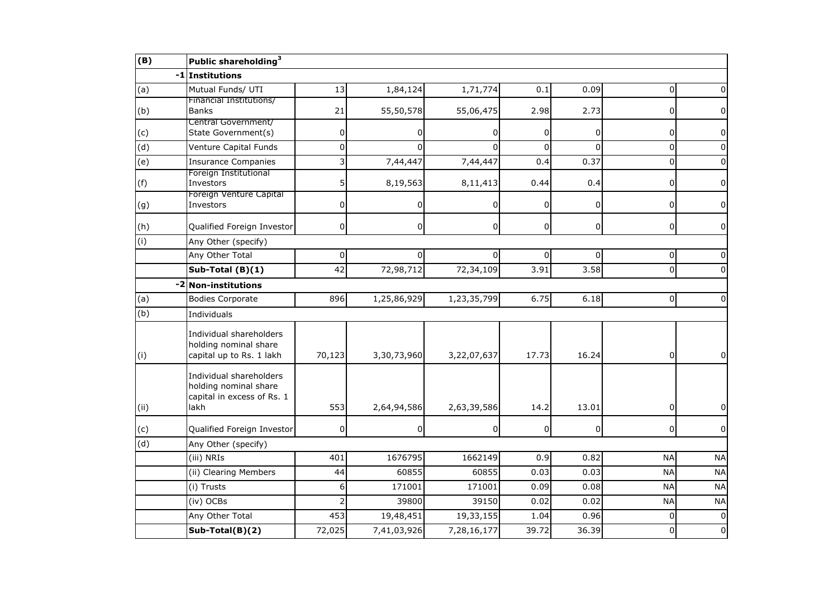| (B)            | Public shareholding <sup>3</sup>                                                       |                |              |                |              |                |                |                |
|----------------|----------------------------------------------------------------------------------------|----------------|--------------|----------------|--------------|----------------|----------------|----------------|
| -1             | Institutions                                                                           |                |              |                |              |                |                |                |
| (a)            | Mutual Funds/ UTI                                                                      | 13             | 1,84,124     | 1,71,774       | 0.1          | 0.09           | $\Omega$       |                |
| (b)            | Financial Institutions/<br><b>Banks</b>                                                | 21             | 55,50,578    | 55,06,475      | 2.98         | 2.73           | 0              | 0              |
| (c)            | Central Government/<br>State Government(s)                                             | 0              | 0            | 0              | 0            | $\mathbf 0$    | 0              | 0              |
| $\overline{d}$ | Venture Capital Funds                                                                  | 0              | $\Omega$     | $\Omega$       | $\Omega$     | $\Omega$       | $\Omega$       | $\Omega$       |
| (e)            | <b>Insurance Companies</b>                                                             | 3              | 7,44,447     | 7,44,447       | 0.4          | 0.37           | $\Omega$       | $\Omega$       |
| (f)            | Foreign Institutional<br>Investors                                                     | 5              | 8,19,563     | 8,11,413       | 0.44         | 0.4            | 0              | 0              |
| (g)            | Foreign Venture Capital<br>Investors                                                   | 0              | 0            | $\overline{0}$ | $\Omega$     | $\overline{0}$ | 0              | 0              |
| (h)            | Qualified Foreign Investor                                                             | $\mathbf 0$    | $\Omega$     | $\overline{0}$ | $\mathsf{o}$ | $\overline{0}$ | $\mathbf 0$    | $\overline{0}$ |
| (i)            | Any Other (specify)                                                                    |                |              |                |              |                |                |                |
|                | Any Other Total                                                                        | $\pmb{0}$      | $\Omega$     | $\Omega$       | $\Omega$     | $\overline{0}$ | $\pmb{0}$      | $\Omega$       |
|                | Sub-Total (B)(1)                                                                       | 42             | 72,98,712    | 72,34,109      | 3.91         | 3.58           | 0              | 0              |
| $-2$           | <b>Non-institutions</b>                                                                |                |              |                |              |                |                |                |
| (a)            | <b>Bodies Corporate</b>                                                                | 896            | 1,25,86,929  | 1,23,35,799    | 6.75         | 6.18           | $\overline{0}$ | 0              |
| (b)            | Individuals                                                                            |                |              |                |              |                |                |                |
| (i)            | Individual shareholders<br>holding nominal share<br>capital up to Rs. 1 lakh           | 70,123         | 3,30,73,960  | 3,22,07,637    | 17.73        | 16.24          | $\overline{0}$ | $\mathbf 0$    |
| (i)            | Individual shareholders<br>holding nominal share<br>capital in excess of Rs. 1<br>lakh | 553            | 2,64,94,586  | 2,63,39,586    | 14.2         | 13.01          | 0              | 0              |
| (c)            | Qualified Foreign Investor                                                             | $\Omega$       | <sup>0</sup> | $\overline{0}$ | 0            | $\overline{0}$ | $\overline{0}$ | $\overline{0}$ |
| (d)            | Any Other (specify)                                                                    |                |              |                |              |                |                |                |
|                | (iii) NRIs                                                                             | 401            | 1676795      | 1662149        | 0.9          | 0.82           | <b>NA</b>      | <b>NA</b>      |
|                | (ii) Clearing Members                                                                  | 44             | 60855        | 60855          | 0.03         | 0.03           | <b>NA</b>      | <b>NA</b>      |
|                | (i) Trusts                                                                             | 6              | 171001       | 171001         | 0.09         | 0.08           | <b>NA</b>      | <b>NA</b>      |
|                | (iv) OCBs                                                                              | $\overline{2}$ | 39800        | 39150          | 0.02         | 0.02           | <b>NA</b>      | <b>NA</b>      |
|                | Any Other Total                                                                        | 453            | 19,48,451    | 19,33,155      | 1.04         | 0.96           | $\Omega$       | $\Omega$       |
|                | Sub-Total(B)(2)                                                                        | 72,025         | 7,41,03,926  | 7,28,16,177    | 39.72        | 36.39          | $\mathbf 0$    | 0              |
|                |                                                                                        |                |              |                |              |                |                |                |